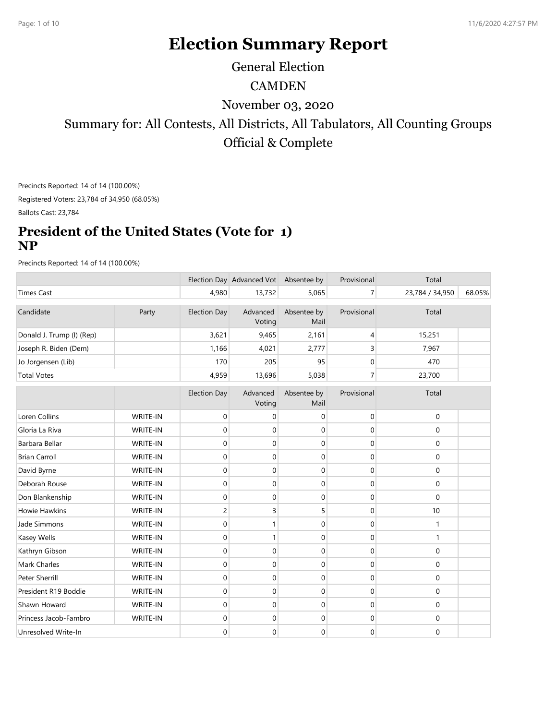# Election Summary Report

General Election

### **CAMDEN**

#### President of the United States (Vote for 1) NP

|                                                                 |                      |                                       |                                  | November 03, 2020                |                  |                                                                               |        |
|-----------------------------------------------------------------|----------------------|---------------------------------------|----------------------------------|----------------------------------|------------------|-------------------------------------------------------------------------------|--------|
|                                                                 |                      |                                       |                                  |                                  |                  | Summary for: All Contests, All Districts, All Tabulators, All Counting Groups |        |
|                                                                 |                      |                                       |                                  |                                  |                  |                                                                               |        |
|                                                                 |                      |                                       |                                  | Official & Complete              |                  |                                                                               |        |
|                                                                 |                      |                                       |                                  |                                  |                  |                                                                               |        |
| Precincts Reported: 14 of 14 (100.00%)                          |                      |                                       |                                  |                                  |                  |                                                                               |        |
| Registered Voters: 23,784 of 34,950 (68.05%)                    |                      |                                       |                                  |                                  |                  |                                                                               |        |
| Ballots Cast: 23,784                                            |                      |                                       |                                  |                                  |                  |                                                                               |        |
|                                                                 |                      |                                       |                                  |                                  |                  |                                                                               |        |
| <b>President of the United States (Vote for 1)</b><br><b>NP</b> |                      |                                       |                                  |                                  |                  |                                                                               |        |
| Precincts Reported: 14 of 14 (100.00%)                          |                      |                                       |                                  |                                  |                  |                                                                               |        |
|                                                                 |                      | Election Day Advanced Vot Absentee by |                                  |                                  | Provisional      | Total                                                                         |        |
| <b>Times Cast</b>                                               |                      | 4,980                                 | 13,732                           | 5,065                            | $\overline{7}$   | 23,784 / 34,950                                                               | 68.05% |
| Candidate                                                       | Party                | <b>Election Day</b>                   | Advanced<br>Voting               | Absentee by<br>Mail              | Provisional      | Total                                                                         |        |
| Donald J. Trump (I) (Rep)                                       |                      | 3,621                                 | 9,465                            | 2,161                            | 4                | 15,251                                                                        |        |
| Joseph R. Biden (Dem)                                           |                      | 1,166                                 | 4,021                            | 2,777                            | $\overline{3}$   | 7,967                                                                         |        |
| Jo Jorgensen (Lib)                                              |                      | 170                                   | 205                              | 95                               | $\overline{0}$   | 470                                                                           |        |
| <b>Total Votes</b>                                              |                      | 4,959                                 | 13,696                           | 5,038                            | 7 <sup>1</sup>   | 23,700                                                                        |        |
|                                                                 |                      | <b>Election Day</b>                   | Advanced<br>Voting               | Absentee by<br>Mail              | Provisional      | Total                                                                         |        |
| Loren Collins                                                   | WRITE-IN             | $\mathbf 0$                           | 0                                | 0                                | $\boldsymbol{0}$ | 0                                                                             |        |
| Gloria La Riva                                                  | WRITE-IN             | $\mathbf 0$                           | 0                                | $\overline{0}$                   | $\overline{0}$   | $\mathbf 0$                                                                   |        |
| Barbara Bellar                                                  | WRITE-IN             | $\mathbf 0$                           | $\overline{0}$                   | $\overline{0}$                   | $\overline{0}$   | $\mathbf 0$                                                                   |        |
| <b>Brian Carroll</b>                                            | WRITE-IN             | $\mathbf 0$                           | $\overline{0}$                   | $\overline{0}$                   | $\overline{0}$   | 0                                                                             |        |
| David Byrne                                                     | WRITE-IN             | $\mathbf 0$                           | $\overline{0}$                   | $\overline{0}$                   | $\overline{0}$   | 0                                                                             |        |
| Deborah Rouse                                                   | WRITE-IN             | $\mathbf 0$                           | $\overline{0}$                   | $\overline{0}$                   | $\overline{0}$   | 0                                                                             |        |
| Don Blankenship                                                 | WRITE-IN             | $\overline{0}$                        | $\overline{0}$                   | $\overline{0}$                   | $\overline{0}$   | 0                                                                             |        |
| Howie Hawkins                                                   | WRITE-IN             | $\overline{2}$                        | 3                                | 5 <sup>1</sup>                   | $\boldsymbol{0}$ | $10\,$                                                                        |        |
| Jade Simmons                                                    | WRITE-IN             | $\overline{0}$                        |                                  | $\overline{0}$                   | $\overline{0}$   | $\mathbf 1$                                                                   |        |
| Kasey Wells                                                     | WRITE-IN             | $\mathbf 0$                           |                                  | $\overline{0}$                   | $\overline{0}$   | $\mathbf{1}$                                                                  |        |
| Kathryn Gibson                                                  | WRITE-IN             | $\overline{0}$                        | $\overline{0}$                   | $\overline{0}$                   | $\overline{0}$   | $\mathbf 0$                                                                   |        |
| Mark Charles                                                    | WRITE-IN             | $\mathbf 0$                           | $\overline{0}$                   | $\overline{0}$                   | $\overline{0}$   | $\mathbf 0$                                                                   |        |
|                                                                 | WRITE-IN             | $\overline{0}$                        | $\overline{0}$                   | $\overline{0}$                   | $\overline{0}$   | 0                                                                             |        |
|                                                                 |                      | $\overline{0}$                        | $\overline{0}$                   | $\overline{0}$                   | $\overline{0}$   | $\mathbf 0$                                                                   |        |
| Peter Sherrill                                                  |                      |                                       |                                  |                                  | $\overline{0}$   | $\boldsymbol{0}$                                                              |        |
| President R19 Boddie                                            | WRITE-IN             |                                       |                                  |                                  |                  |                                                                               |        |
| Shawn Howard<br>Princess Jacob-Fambro                           | WRITE-IN<br>WRITE-IN | $\overline{0}$<br>$\overline{0}$      | $\overline{0}$<br>$\overline{0}$ | $\overline{0}$<br>$\overline{0}$ | $\overline{0}$   | $\mathbf 0$                                                                   |        |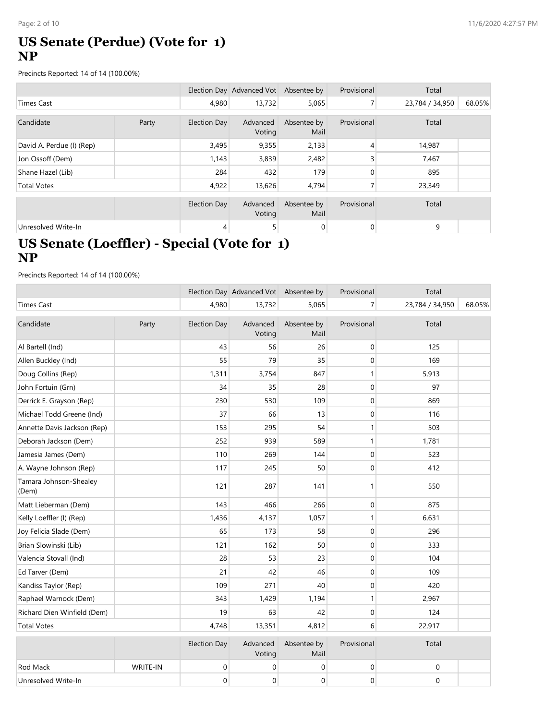## US Senate (Perdue) (Vote for 1) NP

| Page: 2 of 10                                                                                      |       |                     |                                       |                     |                  |                 | 11/6/2020 4:27:57 PM |
|----------------------------------------------------------------------------------------------------|-------|---------------------|---------------------------------------|---------------------|------------------|-----------------|----------------------|
| <b>US Senate (Perdue) (Vote for 1)</b><br><b>NP</b>                                                |       |                     |                                       |                     |                  |                 |                      |
| Precincts Reported: 14 of 14 (100.00%)                                                             |       |                     |                                       |                     |                  |                 |                      |
|                                                                                                    |       |                     | Election Day Advanced Vot Absentee by |                     | Provisional      | Total           |                      |
| <b>Times Cast</b>                                                                                  |       | 4,980               | 13,732                                | 5,065               | 7 <sup>1</sup>   | 23,784 / 34,950 | 68.05%               |
| Candidate                                                                                          | Party | <b>Election Day</b> | Advanced<br>Voting                    | Absentee by<br>Mail | Provisional      | Total           |                      |
| David A. Perdue (I) (Rep)                                                                          |       | 3,495               | 9,355                                 | 2,133               | 4                | 14,987          |                      |
| Jon Ossoff (Dem)                                                                                   |       | 1,143               | 3,839                                 | 2,482               | $\overline{3}$   | 7,467           |                      |
| Shane Hazel (Lib)                                                                                  |       | 284                 | 432                                   | 179                 | $\mathbf 0$      | 895             |                      |
| <b>Total Votes</b>                                                                                 |       | 4,922               | 13,626                                | 4,794               | 7 <sup>1</sup>   | 23,349          |                      |
|                                                                                                    |       | <b>Election Day</b> | Advanced<br>Voting                    | Absentee by<br>Mail | Provisional      | Total           |                      |
| Unresolved Write-In                                                                                |       | 4                   | 5 <sup>1</sup>                        | $\overline{0}$      | $\overline{0}$   | 9               |                      |
| US Senate (Loeffler) - Special (Vote for 1)<br><b>NP</b><br>Precincts Reported: 14 of 14 (100.00%) |       |                     |                                       |                     |                  |                 |                      |
|                                                                                                    |       |                     | Election Day Advanced Vot Absentee by |                     | Provisional      | Total           |                      |
| <b>Times Cast</b>                                                                                  |       | 4,980               | 13,732                                | 5,065               | 7 <sup>1</sup>   | 23,784 / 34,950 | 68.05%               |
| Candidate                                                                                          | Party | <b>Election Day</b> | Advanced<br>Voting                    | Absentee by<br>Mail | Provisional      | Total           |                      |
| Al Bartell (Ind)                                                                                   |       | 43                  | 56                                    | 26                  | $\boldsymbol{0}$ | 125             |                      |
| Allen Buckley (Ind)                                                                                |       | 55                  | 79                                    | 35                  | $\pmb{0}$        | 169             |                      |
| Doug Collins (Rep)                                                                                 |       | 1,311               | 3,754                                 | 847                 | $\mathbf{1}$     | 5,913           |                      |
| John Fortuin (Grn)                                                                                 |       | 34                  | 35                                    | 28                  | $\boldsymbol{0}$ | 97              |                      |
| Derrick E. Grayson (Rep)                                                                           |       | 230                 | 530                                   | 109                 | $\mathbf{0}$     | 869             |                      |

# US Senate (Loeffler) - Special (Vote for 1) NP

| Candidate                                                | Party    | Election Day        | Advanced<br>Voting                    | Absentee by<br>Mail | Provisional      | тотаг            |        |
|----------------------------------------------------------|----------|---------------------|---------------------------------------|---------------------|------------------|------------------|--------|
| David A. Perdue (I) (Rep)                                |          | 3,495               | 9,355                                 | 2,133               | 4                | 14,987           |        |
| Jon Ossoff (Dem)                                         |          | 1,143               | 3,839                                 | 2,482               | 3                | 7,467            |        |
| Shane Hazel (Lib)                                        |          | 284                 | 432                                   | 179                 | 0                | 895              |        |
| <b>Total Votes</b>                                       |          | 4,922               | 13,626                                | 4,794               | $\overline{7}$   | 23,349           |        |
|                                                          |          | <b>Election Day</b> | Advanced                              | Absentee by         | Provisional      | Total            |        |
|                                                          |          |                     | Voting                                | Mail                |                  |                  |        |
| Unresolved Write-In                                      |          | 4                   | 5 <sup>1</sup>                        | $\overline{0}$      | $\overline{0}$   | 9                |        |
| US Senate (Loeffler) - Special (Vote for 1)<br><b>NP</b> |          |                     |                                       |                     |                  |                  |        |
| Precincts Reported: 14 of 14 (100.00%)                   |          |                     |                                       |                     |                  |                  |        |
|                                                          |          |                     | Election Day Advanced Vot Absentee by |                     | Provisional      | Total            |        |
| <b>Times Cast</b>                                        |          | 4,980               | 13,732                                | 5,065               | 7 <sup>1</sup>   | 23,784 / 34,950  | 68.05% |
| Candidate                                                | Party    | <b>Election Day</b> | Advanced<br>Voting                    | Absentee by<br>Mail | Provisional      | Total            |        |
| Al Bartell (Ind)                                         |          | 43                  | 56                                    | 26                  | 0                | 125              |        |
| Allen Buckley (Ind)                                      |          | 55                  | 79                                    | 35                  | $\mathbf 0$      | 169              |        |
| Doug Collins (Rep)                                       |          | 1,311               | 3,754                                 | 847                 |                  | 5,913            |        |
| John Fortuin (Grn)                                       |          | 34                  | 35                                    | 28                  | $\mathbf 0$      | 97               |        |
| Derrick E. Grayson (Rep)                                 |          | 230                 | 530                                   | 109                 | 0                | 869              |        |
| Michael Todd Greene (Ind)                                |          | 37                  | 66                                    | 13                  | $\mathbf 0$      | 116              |        |
| Annette Davis Jackson (Rep)                              |          | 153                 | 295                                   | 54                  |                  | 503              |        |
| Deborah Jackson (Dem)                                    |          | 252                 | 939                                   | 589                 | $\mathbf{1}$     | 1,781            |        |
| Jamesia James (Dem)                                      |          | 110                 | 269                                   | 144                 | $\mathbf 0$      | 523              |        |
| A. Wayne Johnson (Rep)                                   |          | 117                 | 245                                   | 50                  | $\mathbf 0$      | 412              |        |
| Tamara Johnson-Shealey<br>(Dem)                          |          | 121                 | 287                                   | 141                 | $\mathbf 1$      | 550              |        |
| Matt Lieberman (Dem)                                     |          | 143                 | 466                                   | 266                 | 0                | 875              |        |
| Kelly Loeffler (I) (Rep)                                 |          | 1,436               | 4,137                                 | 1,057               | $\mathbf{1}$     | 6,631            |        |
| Joy Felicia Slade (Dem)                                  |          | 65                  | 173                                   | 58                  | 0                | 296              |        |
| Brian Slowinski (Lib)                                    |          | 121                 | 162                                   | 50                  | $\mathbf 0$      | 333              |        |
| Valencia Stovall (Ind)                                   |          | 28                  | 53                                    | 23                  | $\pmb{0}$        | 104              |        |
| Ed Tarver (Dem)                                          |          | 21                  | 42                                    | $46\,$              | $\mathbf 0$      | 109              |        |
| Kandiss Taylor (Rep)                                     |          | 109                 | 271                                   | $40\,$              | $\pmb{0}$        | 420              |        |
| Raphael Warnock (Dem)                                    |          | 343                 | 1,429                                 | 1,194               | $\mathbf{1}$     | 2,967            |        |
| Richard Dien Winfield (Dem)                              |          | 19                  | 63                                    | 42                  | $\mathbf 0$      | 124              |        |
| <b>Total Votes</b>                                       |          | 4,748               | 13,351                                | 4,812               | $6 \overline{6}$ | 22,917           |        |
|                                                          |          | <b>Election Day</b> | Advanced<br>Voting                    | Absentee by<br>Mail | Provisional      | Total            |        |
| Rod Mack                                                 | WRITE-IN | 0                   | $\mathbf 0$                           | 0                   | $\pmb{0}$        | $\pmb{0}$        |        |
| Unresolved Write-In                                      |          | $\overline{0}$      | $\overline{0}$                        | $\overline{0}$      | $\overline{0}$   | $\boldsymbol{0}$ |        |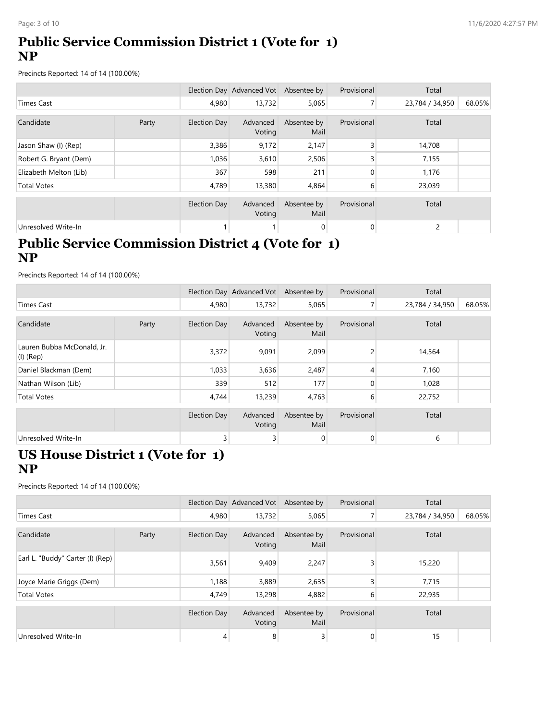# Public Service Commission District 1 (Vote for 1) NP

| Page: 3 of 10<br><b>Public Service Commission District 1 (Vote for 1)</b><br><b>NP</b><br>Precincts Reported: 14 of 14 (100.00%)<br>Election Day Advanced Vot Absentee by<br>Provisional<br>Total<br>Times Cast<br>4,980<br>13,732<br>5,065<br>7 <sup>1</sup><br>23,784 / 34,950 |                      |
|----------------------------------------------------------------------------------------------------------------------------------------------------------------------------------------------------------------------------------------------------------------------------------|----------------------|
|                                                                                                                                                                                                                                                                                  |                      |
|                                                                                                                                                                                                                                                                                  |                      |
|                                                                                                                                                                                                                                                                                  |                      |
|                                                                                                                                                                                                                                                                                  | 11/6/2020 4:27:57 PM |
|                                                                                                                                                                                                                                                                                  |                      |
|                                                                                                                                                                                                                                                                                  |                      |
|                                                                                                                                                                                                                                                                                  | 68.05%               |
| Provisional<br>Candidate<br>Party<br>Absentee by<br>Total<br><b>Election Day</b><br>Advanced<br>Voting<br>Mail                                                                                                                                                                   |                      |
| 2,147<br>14,708<br>Jason Shaw (I) (Rep)<br>3,386<br>9,172<br>3                                                                                                                                                                                                                   |                      |
| $\overline{3}$<br>Robert G. Bryant (Dem)<br>1,036<br>3,610<br>2,506<br>7,155                                                                                                                                                                                                     |                      |
| Elizabeth Melton (Lib)<br>$\mathbf 0$<br>367<br>598<br>211<br>1,176                                                                                                                                                                                                              |                      |
| 4,789<br>4,864<br>6<br><b>Total Votes</b><br>13,380<br>23,039                                                                                                                                                                                                                    |                      |
| Absentee by<br>Provisional<br>Total<br><b>Election Day</b><br>Advanced<br>Voting<br>Mail                                                                                                                                                                                         |                      |
| $\overline{0}$<br>Unresolved Write-In<br>$\overline{0}$<br>$\overline{2}$                                                                                                                                                                                                        |                      |
| <b>Public Service Commission District 4 (Vote for 1)</b><br><b>NP</b><br>Precincts Reported: 14 of 14 (100.00%)                                                                                                                                                                  |                      |

# Public Service Commission District 4 (Vote for 1) NP

| Candidate                                                                               | Party | <b>Election Day</b> | Advanced<br>Voting                    | Absentee by<br>Mail | Provisional    | Total           |        |
|-----------------------------------------------------------------------------------------|-------|---------------------|---------------------------------------|---------------------|----------------|-----------------|--------|
| Jason Shaw (I) (Rep)                                                                    |       | 3,386               | 9,172                                 | 2,147               | 3              | 14,708          |        |
| Robert G. Bryant (Dem)                                                                  |       | 1,036               | 3,610                                 | 2,506               | $\overline{3}$ | 7,155           |        |
| Elizabeth Melton (Lib)                                                                  |       | 367                 | 598                                   | 211                 | $\mathbf 0$    | 1,176           |        |
| <b>Total Votes</b>                                                                      |       | 4,789               | 13,380                                | 4,864               | 6              | 23,039          |        |
|                                                                                         |       | <b>Election Day</b> | Advanced<br>Voting                    | Absentee by<br>Mail | Provisional    | Total           |        |
| Unresolved Write-In                                                                     |       |                     |                                       | $\overline{0}$      | $\overline{0}$ | $\overline{2}$  |        |
| <b>NP</b><br>Precincts Reported: 14 of 14 (100.00%)                                     |       |                     | Election Day Advanced Vot Absentee by |                     | Provisional    | Total           |        |
| <b>Times Cast</b>                                                                       |       | 4,980               | 13,732                                | 5,065               | 7 <sup>1</sup> | 23,784 / 34,950 | 68.05% |
|                                                                                         |       |                     |                                       |                     |                |                 |        |
| Candidate                                                                               | Party | <b>Election Day</b> | Advanced<br>Voting                    | Absentee by<br>Mail | Provisional    | Total           |        |
| Lauren Bubba McDonald, Jr.<br>$(I)$ (Rep)                                               |       | 3,372               | 9,091                                 | 2,099               | $\overline{2}$ | 14,564          |        |
| Daniel Blackman (Dem)                                                                   |       | 1,033               | 3,636                                 | 2,487               | $\overline{4}$ | 7,160           |        |
| Nathan Wilson (Lib)                                                                     |       | 339                 | 512                                   | 177                 | $\mathbf 0$    | 1,028           |        |
| <b>Total Votes</b>                                                                      |       | 4,744               | 13,239                                | 4,763               | 6              | 22,752          |        |
|                                                                                         |       | <b>Election Day</b> | Advanced<br>Voting                    | Absentee by<br>Mail | Provisional    | Total           |        |
| Unresolved Write-In                                                                     |       | 3                   | 3 <sup>1</sup>                        | $\pmb{0}$           | $\overline{0}$ | 6               |        |
| US House District 1 (Vote for 1)<br><b>NP</b><br>Precincts Reported: 14 of 14 (100.00%) |       |                     |                                       |                     |                |                 |        |
|                                                                                         |       |                     |                                       |                     |                |                 |        |

# US House District 1 (Vote for 1) NP

|                                                                                         |       |                     | Voting                                | Mail                |                     |                 |        |
|-----------------------------------------------------------------------------------------|-------|---------------------|---------------------------------------|---------------------|---------------------|-----------------|--------|
| Lauren Bubba McDonald, Jr.<br>$(1)$ (Rep)                                               |       | 3,372               | 9,091                                 | 2,099               | $\overline{2}$      | 14,564          |        |
| Daniel Blackman (Dem)                                                                   |       | 1,033               | 3,636                                 | 2,487               | 4                   | 7,160           |        |
| Nathan Wilson (Lib)                                                                     |       | 339                 | 512                                   | 177                 | $\mathbf 0$         | 1,028           |        |
| <b>Total Votes</b>                                                                      |       | 4,744               | 13,239                                | 4,763               | 6                   | 22,752          |        |
|                                                                                         |       | <b>Election Day</b> | Advanced<br>Voting                    | Absentee by<br>Mail | Provisional         | Total           |        |
| Unresolved Write-In                                                                     |       | 3                   | $\overline{3}$                        | 0                   | $\mathsf{O}\xspace$ | 6               |        |
| US House District 1 (Vote for 1)<br><b>NP</b><br>Precincts Reported: 14 of 14 (100.00%) |       |                     |                                       |                     |                     |                 |        |
|                                                                                         |       |                     |                                       |                     |                     |                 |        |
|                                                                                         |       |                     | Election Day Advanced Vot Absentee by |                     | Provisional         | Total           |        |
| <b>Times Cast</b>                                                                       |       | 4,980               | 13,732                                | 5,065               | 7 <sup>1</sup>      | 23,784 / 34,950 | 68.05% |
|                                                                                         | Party | <b>Election Day</b> | Advanced<br>Voting                    | Absentee by<br>Mail | Provisional         | Total           |        |
| Earl L. "Buddy" Carter (I) (Rep)                                                        |       | 3,561               | 9,409                                 | 2,247               | 3                   | 15,220          |        |
| Joyce Marie Griggs (Dem)                                                                |       | 1,188               | 3,889                                 | 2,635               | 3                   | 7,715           |        |
| <b>Total Votes</b>                                                                      |       | 4,749               | 13,298                                | 4,882               | 6                   | 22,935          |        |
| Candidate                                                                               |       | <b>Election Day</b> | Advanced<br>Voting                    | Absentee by<br>Mail | Provisional         | Total           |        |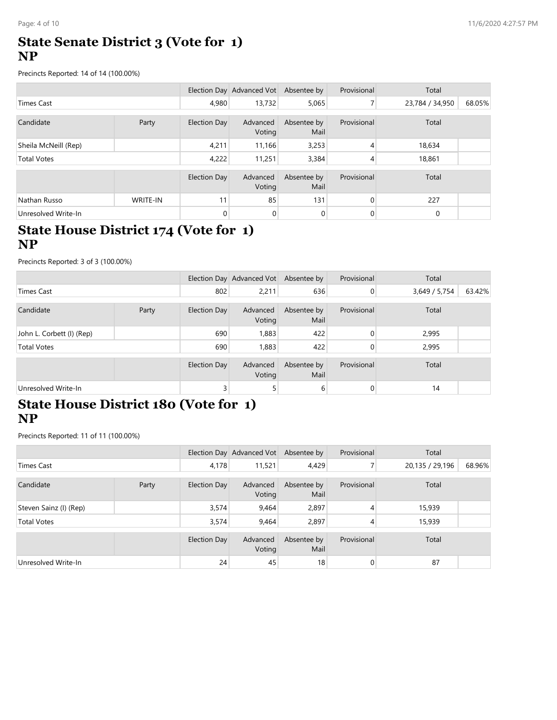#### State Senate District 3 (Vote for 1) NP

| Page: 4 of 10                                             |          |                     |                                       |                              |                |                 | 11/6/2020 4:27:57 PM |
|-----------------------------------------------------------|----------|---------------------|---------------------------------------|------------------------------|----------------|-----------------|----------------------|
| <b>State Senate District 3 (Vote for 1)</b><br><b>NP</b>  |          |                     |                                       |                              |                |                 |                      |
| Precincts Reported: 14 of 14 (100.00%)                    |          |                     |                                       |                              |                |                 |                      |
|                                                           |          |                     | Election Day Advanced Vot Absentee by |                              | Provisional    | Total           |                      |
| Times Cast                                                |          | 4,980               | 13,732                                | 5,065                        | 7 <sup>1</sup> | 23,784 / 34,950 | 68.05%               |
| Candidate                                                 | Party    | <b>Election Day</b> | Advanced<br>Voting                    | Absentee by<br>Mail          | Provisional    | Total           |                      |
| Sheila McNeill (Rep)                                      |          | 4,211               | 11,166                                | 3,253                        | 4              | 18,634          |                      |
| <b>Total Votes</b>                                        |          | 4,222               | 11,251                                | 3,384                        | 4              | 18,861          |                      |
|                                                           |          | <b>Election Day</b> | Advanced<br>Voting                    | Absentee by<br>Mail          | Provisional    | Total           |                      |
| Nathan Russo                                              | WRITE-IN | 11                  | 85                                    | 131                          | 0              | 227             |                      |
| Unresolved Write-In                                       |          | 0                   | $\overline{0}$                        | 0                            | $\mathbf 0$    | 0               |                      |
| <b>State House District 174 (Vote for 1)</b><br><b>NP</b> |          |                     |                                       |                              |                |                 |                      |
| Precincts Reported: 3 of 3 (100.00%)                      |          |                     |                                       |                              |                |                 |                      |
|                                                           |          |                     | Election Day Advanced Vot Absentee by |                              | Provisional    | Total           |                      |
| <b>Times Cast</b>                                         |          | 802                 | 2,211                                 | 636                          | $\overline{0}$ | 3,649 / 5,754   | 63.42%               |
| Candidate                                                 | Party    | <b>Election Day</b> | Voting                                | Advanced Absentee by<br>Mail | Provisional    | Total           |                      |
| John L. Corbett (I) (Rep)                                 |          | 690                 | 1,883                                 | 422                          | $\mathbf 0$    | 2,995           |                      |
| <b>Total Votes</b>                                        |          | 690                 | 1,883                                 | 422                          | $\overline{0}$ | 2,995           |                      |
|                                                           |          | <b>Election Day</b> | Advanced<br>Voting                    | Absentee by<br>Mail          | Provisional    | Total           |                      |
| Unresolved Write-In                                       |          | 3 <sup>1</sup>      | 5 <sup>2</sup>                        | $6 \mid$                     | $\overline{0}$ | 14              |                      |

#### State House District 174 (Vote for 1) NP

| Candidate                                                                                           | Party    | <b>Election Day</b> | Advanced<br>Voting                    | Absentee by<br>Mail | Provisional      | Total           |        |
|-----------------------------------------------------------------------------------------------------|----------|---------------------|---------------------------------------|---------------------|------------------|-----------------|--------|
| Sheila McNeill (Rep)                                                                                |          | 4,211               | 11,166                                | 3,253               | 4                | 18,634          |        |
| <b>Total Votes</b>                                                                                  |          | 4,222               | 11,251                                | 3,384               | 4                | 18,861          |        |
|                                                                                                     |          | <b>Election Day</b> | Advanced<br>Voting                    | Absentee by<br>Mail | Provisional      | Total           |        |
| Nathan Russo                                                                                        | WRITE-IN | 11                  | 85                                    | 131                 | 0                | 227             |        |
| Unresolved Write-In                                                                                 |          |                     | $\overline{0}$                        | $\mathbf 0$         | $\mathbf 0$      | $\mathbf 0$     |        |
| State House District 174 (Vote for 1)<br><b>NP</b><br>Precincts Reported: 3 of 3 (100.00%)          |          |                     |                                       |                     |                  |                 |        |
|                                                                                                     |          |                     | Election Day Advanced Vot Absentee by |                     | Provisional      | Total           |        |
| <b>Times Cast</b>                                                                                   |          | 802                 | 2,211                                 | 636                 | $\overline{0}$   | 3,649 / 5,754   | 63.42% |
| Candidate                                                                                           | Party    | <b>Election Day</b> | Advanced<br>Voting                    | Absentee by<br>Mail | Provisional      | Total           |        |
| John L. Corbett (I) (Rep)                                                                           |          | 690                 | 1,883                                 | 422                 | $\boldsymbol{0}$ | 2,995           |        |
| <b>Total Votes</b>                                                                                  |          | 690                 | 1,883                                 | 422                 | $\mathbf 0$      | 2,995           |        |
|                                                                                                     |          | <b>Election Day</b> | Advanced<br>Voting                    | Absentee by<br>Mail | Provisional      | Total           |        |
| Unresolved Write-In                                                                                 |          | 3                   | 5 <sup>1</sup>                        | 6                   | $\overline{0}$   | 14              |        |
| <b>State House District 180 (Vote for 1)</b><br><b>NP</b><br>Precincts Reported: 11 of 11 (100.00%) |          |                     | Election Day Advanced Vot Absentee by |                     | Provisional      | Total           |        |
| <b>Times Cast</b>                                                                                   |          | 4,178               | 11,521                                | 4,429               | $\overline{7}$   | 20,135 / 29,196 | 68.96% |
|                                                                                                     |          |                     |                                       |                     |                  |                 |        |
| Candidate                                                                                           | Party    | <b>Election Day</b> | Advanced<br>Voting                    | Absentee by<br>Mail | Provisional      | Total           |        |
| Steven Sainz (I) (Rep)                                                                              |          | 3,574               | 9,464                                 | 2,897               | 4                | 15,939          |        |
| <b>Total Votes</b>                                                                                  |          | 3,574               | 9,464                                 | 2,897               | $\overline{A}$   | 15,939          |        |
|                                                                                                     |          | <b>Election Day</b> | Advanced<br>Voting                    | Absentee by<br>Mail | Provisional      | Total           |        |
| Unresolved Write-In                                                                                 |          | 24                  | 45                                    | 18                  | $\overline{0}$   | 87              |        |

# State House District 180 (Vote for 1) NP

| <b>Times Cast</b>                      |       | 802                 | 2,211                                 | 636                 | $\overline{0}$ | 3,649 / 5,754   | 63.42% |
|----------------------------------------|-------|---------------------|---------------------------------------|---------------------|----------------|-----------------|--------|
| Candidate                              | Party | <b>Election Day</b> | Advanced<br>Voting                    | Absentee by<br>Mail | Provisional    | Total           |        |
| John L. Corbett (I) (Rep)              |       | 690                 | 1,883                                 | 422                 | 0              | 2,995           |        |
| <b>Total Votes</b>                     |       | 690                 | 1,883                                 | 422                 | $\mathbf 0$    | 2,995           |        |
|                                        |       | <b>Election Day</b> | Advanced<br>Voting                    | Absentee by<br>Mail | Provisional    | Total           |        |
| Unresolved Write-In                    |       |                     | 5 <sup>1</sup>                        | $6 \mid$            | $\overline{0}$ | 14              |        |
| <b>NP</b>                              |       |                     |                                       |                     |                |                 |        |
| Precincts Reported: 11 of 11 (100.00%) |       |                     |                                       |                     |                |                 |        |
|                                        |       |                     | Election Day Advanced Vot Absentee by |                     | Provisional    | Total           |        |
| <b>Times Cast</b>                      |       | 4,178               | 11,521                                | 4,429               | 7 <sup>1</sup> | 20,135 / 29,196 | 68.96% |
| Candidate                              | Party | <b>Election Day</b> | Advanced<br>Voting                    | Absentee by<br>Mail | Provisional    | Total           |        |
| Steven Sainz (I) (Rep)                 |       | 3,574               | 9,464                                 | 2,897               | 4              | 15,939          |        |
| <b>Total Votes</b>                     |       | 3,574               | 9,464                                 | 2,897               | 4              | 15,939          |        |
|                                        |       | <b>Election Day</b> | Advanced<br>Voting                    | Absentee by<br>Mail | Provisional    | Total           |        |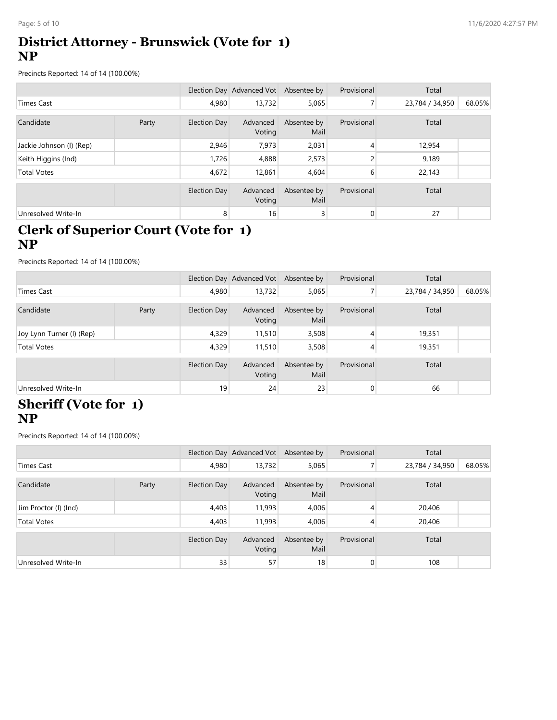# District Attorney - Brunswick (Vote for 1) NP

| Page: 5 of 10                                                                                      |       |                     |                                       |                              |                  |                 | 11/6/2020 4:27:57 PM |
|----------------------------------------------------------------------------------------------------|-------|---------------------|---------------------------------------|------------------------------|------------------|-----------------|----------------------|
| <b>District Attorney - Brunswick (Vote for 1)</b><br><b>NP</b>                                     |       |                     |                                       |                              |                  |                 |                      |
| Precincts Reported: 14 of 14 (100.00%)                                                             |       |                     |                                       |                              |                  |                 |                      |
|                                                                                                    |       |                     | Election Day Advanced Vot Absentee by |                              | Provisional      | Total           |                      |
| <b>Times Cast</b>                                                                                  |       | 4,980               | 13,732                                | 5,065                        | 7 <sup>1</sup>   | 23,784 / 34,950 | 68.05%               |
| Candidate                                                                                          | Party | <b>Election Day</b> | Advanced<br>Voting                    | Absentee by<br>Mail          | Provisional      | Total           |                      |
| Jackie Johnson (I) (Rep)                                                                           |       | 2,946               | 7,973                                 | 2,031                        | 4                | 12,954          |                      |
| Keith Higgins (Ind)                                                                                |       | 1,726               | 4,888                                 | 2,573                        | 2                | 9,189           |                      |
| <b>Total Votes</b>                                                                                 |       | 4,672               | 12,861                                | 4,604                        | 6                | 22,143          |                      |
|                                                                                                    |       | <b>Election Day</b> | Advanced<br>Voting                    | Absentee by<br>Mail          | Provisional      | Total           |                      |
| Unresolved Write-In                                                                                |       | 8 <sup>1</sup>      | 16                                    | 3                            | $\mathbf 0$      | 27              |                      |
| <b>Clerk of Superior Court (Vote for 1)</b><br><b>NP</b><br>Precincts Reported: 14 of 14 (100.00%) |       |                     |                                       |                              |                  |                 |                      |
|                                                                                                    |       |                     | Election Day Advanced Vot Absentee by |                              | Provisional      | Total           |                      |
| Times Cast                                                                                         |       | 4,980               | 13,732                                | 5,065                        | 7 <sup>1</sup>   | 23,784 / 34,950 | 68.05%               |
| Candidate                                                                                          | Party | <b>Election Day</b> | Voting                                | Advanced Absentee by<br>Mail | Provisional      | Total           |                      |
| Joy Lynn Turner (I) (Rep)                                                                          |       | 4,329               | 11,510                                | 3,508                        | 4                | 19,351          |                      |
| <b>Total Votes</b>                                                                                 |       | 4,329               | 11,510                                | 3,508                        | $\overline{4}$   | 19,351          |                      |
|                                                                                                    |       | Election Day        | Advanced<br>Voting                    | Absentee by<br>Mail          | Provisional      | Total           |                      |
| Unresolved Write-In                                                                                |       | 19                  | 24                                    | 23                           | $\boldsymbol{0}$ | 66              |                      |

### Clerk of Superior Court (Vote for 1) NP

| Candidate                                                                                          | Party | <b>Election Day</b> | Advanced<br>Voting                    | Absentee by<br>Mail | Provisional      | Total           |        |
|----------------------------------------------------------------------------------------------------|-------|---------------------|---------------------------------------|---------------------|------------------|-----------------|--------|
| Jackie Johnson (I) (Rep)                                                                           |       | 2,946               | 7,973                                 | 2,031               | 4                | 12,954          |        |
| Keith Higgins (Ind)                                                                                |       | 1,726               | 4,888                                 | 2,573               | $\overline{c}$   | 9,189           |        |
| <b>Total Votes</b>                                                                                 |       | 4,672               | 12,861                                | 4,604               | 6                | 22,143          |        |
|                                                                                                    |       | <b>Election Day</b> | Advanced<br>Voting                    | Absentee by<br>Mail | Provisional      | Total           |        |
| Unresolved Write-In                                                                                |       | 8                   | 16                                    | $\overline{3}$      | $\boldsymbol{0}$ | 27              |        |
| <b>Clerk of Superior Court (Vote for 1)</b><br><b>NP</b><br>Precincts Reported: 14 of 14 (100.00%) |       |                     |                                       |                     |                  |                 |        |
|                                                                                                    |       |                     |                                       |                     |                  |                 |        |
|                                                                                                    |       |                     | Election Day Advanced Vot Absentee by |                     | Provisional      | Total           |        |
| <b>Times Cast</b>                                                                                  |       | 4,980               | 13,732                                | 5,065               | $\overline{7}$   | 23,784 / 34,950 | 68.05% |
| Candidate                                                                                          | Party | <b>Election Day</b> | Advanced<br>Voting                    | Absentee by<br>Mail | Provisional      | Total           |        |
| Joy Lynn Turner (I) (Rep)                                                                          |       | 4,329               | 11,510                                | 3,508               | 4                | 19,351          |        |
| <b>Total Votes</b>                                                                                 |       | 4,329               | 11,510                                | 3,508               | $\overline{A}$   | 19,351          |        |
|                                                                                                    |       | <b>Election Day</b> | Advanced<br>Voting                    | Absentee by<br>Mail | Provisional      | Total           |        |
| Unresolved Write-In                                                                                |       | 19                  | 24                                    | 23                  | $\boldsymbol{0}$ | 66              |        |
| <b>Sheriff (Vote for 1)</b><br><b>NP</b><br>Precincts Reported: 14 of 14 (100.00%)                 |       |                     |                                       |                     |                  |                 |        |
|                                                                                                    |       |                     | Election Day Advanced Vot Absentee by |                     | Provisional      | Total           |        |
| <b>Times Cast</b>                                                                                  |       | 4,980               | 13,732                                | 5,065               | $\overline{7}$   | 23,784 / 34,950 | 68.05% |
| Candidate                                                                                          | Party | <b>Election Day</b> | Advanced<br>Voting                    | Absentee by<br>Mail | Provisional      | Total           |        |
| Jim Proctor (I) (Ind)                                                                              |       | 4,403               | 11,993                                | 4,006               | 4                | 20,406          |        |
| <b>Total Votes</b>                                                                                 |       | 4,403               | 11,993                                | 4,006               | $\overline{A}$   | 20,406          |        |
|                                                                                                    |       | <b>Election Day</b> | Advanced<br>Voting                    | Absentee by<br>Mail | Provisional      | Total           |        |
| Unresolved Write-In                                                                                |       | 33                  | 57                                    | 18                  | $\overline{0}$   | 108             |        |

# Sheriff (Vote for 1) NP

| <b>Times Cast</b>                                                                  |       | 4,980               | 13,732                                | 5,065               | $\overline{7}$ | 23,784 / 34,950 | 68.05% |
|------------------------------------------------------------------------------------|-------|---------------------|---------------------------------------|---------------------|----------------|-----------------|--------|
| Candidate                                                                          | Party | <b>Election Day</b> | Advanced<br>Voting                    | Absentee by<br>Mail | Provisional    | Total           |        |
| Joy Lynn Turner (I) (Rep)                                                          |       | 4,329               | 11,510                                | 3,508               | 4              | 19,351          |        |
| <b>Total Votes</b>                                                                 |       | 4,329               | 11,510                                | 3,508               | $\vert$        | 19,351          |        |
|                                                                                    |       | <b>Election Day</b> | Advanced<br>Voting                    | Absentee by<br>Mail | Provisional    | Total           |        |
| Unresolved Write-In                                                                |       | 19                  | 24                                    | $23\,$              | $\overline{0}$ | 66              |        |
| <b>Sheriff (Vote for 1)</b><br><b>NP</b><br>Precincts Reported: 14 of 14 (100.00%) |       |                     |                                       |                     |                |                 |        |
|                                                                                    |       |                     | Election Day Advanced Vot Absentee by |                     | Provisional    | Total           |        |
|                                                                                    |       |                     |                                       |                     |                |                 |        |
| <b>Times Cast</b>                                                                  |       | 4,980               | 13,732                                | 5,065               | $\overline{7}$ | 23,784 / 34,950 | 68.05% |
| Candidate                                                                          | Party | <b>Election Day</b> | Advanced<br>Voting                    | Absentee by<br>Mail | Provisional    | Total           |        |
| Jim Proctor (I) (Ind)                                                              |       | 4,403               | 11,993                                | 4,006               | 4              | 20,406          |        |
| <b>Total Votes</b>                                                                 |       | 4,403               | 11,993                                | 4,006               | 4              | 20,406          |        |
|                                                                                    |       | <b>Election Day</b> | Advanced<br>Voting                    | Absentee by<br>Mail | Provisional    | Total           |        |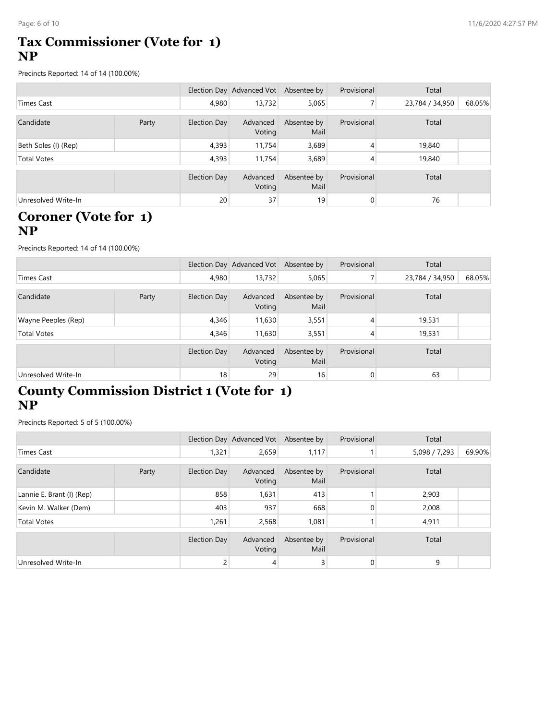## Tax Commissioner (Vote for 1) NP

| Page: 6 of 10                                                                      |       |                     |                                       |                     |                |                 | 11/6/2020 4:27:57 PM |
|------------------------------------------------------------------------------------|-------|---------------------|---------------------------------------|---------------------|----------------|-----------------|----------------------|
| Tax Commissioner (Vote for 1)<br><b>NP</b>                                         |       |                     |                                       |                     |                |                 |                      |
| Precincts Reported: 14 of 14 (100.00%)                                             |       |                     |                                       |                     |                |                 |                      |
|                                                                                    |       |                     | Election Day Advanced Vot Absentee by |                     | Provisional    | Total           |                      |
| <b>Times Cast</b>                                                                  |       | 4,980               | 13,732                                | 5,065               | 7 <sup>1</sup> | 23,784 / 34,950 | 68.05%               |
| Candidate                                                                          | Party | <b>Election Day</b> | Advanced<br>Voting                    | Absentee by<br>Mail | Provisional    | Total           |                      |
| Beth Soles (I) (Rep)                                                               |       | 4,393               | 11,754                                | 3,689               | 4              | 19,840          |                      |
| <b>Total Votes</b>                                                                 |       | 4,393               | 11,754                                | 3,689               | $\overline{4}$ | 19,840          |                      |
|                                                                                    |       | <b>Election Day</b> | Advanced<br>Voting                    | Absentee by<br>Mail | Provisional    | Total           |                      |
| Unresolved Write-In                                                                |       | 20                  | 37                                    | 19                  | $\overline{0}$ | 76              |                      |
| <b>Coroner (Vote for 1)</b><br><b>NP</b><br>Precincts Reported: 14 of 14 (100.00%) |       |                     |                                       |                     |                |                 |                      |
|                                                                                    |       |                     | Election Day Advanced Vot Absentee by |                     | Provisional    | Total           |                      |
| <b>Times Cast</b>                                                                  |       | 4,980               | 13,732                                | 5,065               | 7 <sup>1</sup> | 23,784 / 34,950 | 68.05%               |
| Candidate                                                                          | Party | <b>Election Day</b> | Advanced<br>Voting                    | Absentee by<br>Mail | Provisional    | Total           |                      |
| Wayne Peeples (Rep)                                                                |       | 4,346               | 11,630                                | 3,551               | $\overline{4}$ | 19,531          |                      |
| <b>Total Votes</b>                                                                 |       | 4,346               | 11,630                                | 3,551               | $\overline{4}$ | 19,531          |                      |
|                                                                                    |       | <b>Election Day</b> | Advanced<br>Voting                    | Absentee by<br>Mail | Provisional    | Total           |                      |
| Unresolved Write-In                                                                |       | 18                  | 29                                    | 16                  | $\overline{0}$ | 63              |                      |

#### Coroner (Vote for 1) NP

| <b>Times Cast</b>                                                                                     |       | 4,980               | 13,732                                | 5,065               | 7 <sup>1</sup>   | 23,784 / 34,950 | 68.05% |
|-------------------------------------------------------------------------------------------------------|-------|---------------------|---------------------------------------|---------------------|------------------|-----------------|--------|
| Candidate                                                                                             | Party | <b>Election Day</b> | Advanced<br>Voting                    | Absentee by<br>Mail | Provisional      | Total           |        |
| Beth Soles (I) (Rep)                                                                                  |       | 4,393               | 11,754                                | 3,689               | 4                | 19,840          |        |
| <b>Total Votes</b>                                                                                    |       | 4,393               | 11,754                                | 3,689               | 4                | 19,840          |        |
|                                                                                                       |       | <b>Election Day</b> | Advanced<br>Voting                    | Absentee by<br>Mail | Provisional      | Total           |        |
| Unresolved Write-In                                                                                   |       | 20                  | 37                                    | 19                  | $\boldsymbol{0}$ | 76              |        |
| <b>Coroner (Vote for 1)</b><br><b>NP</b><br>Precincts Reported: 14 of 14 (100.00%)                    |       |                     |                                       |                     |                  |                 |        |
|                                                                                                       |       |                     | Election Day Advanced Vot Absentee by |                     | Provisional      | Total           |        |
| <b>Times Cast</b>                                                                                     |       | 4,980               | 13,732                                | 5,065               | 7 <sup>1</sup>   | 23,784 / 34,950 | 68.05% |
| Candidate                                                                                             | Party | <b>Election Day</b> | Advanced<br>Voting                    | Absentee by<br>Mail | Provisional      | Total           |        |
| Wayne Peeples (Rep)                                                                                   |       | 4,346               | 11,630                                | 3,551               | 4                | 19,531          |        |
| <b>Total Votes</b>                                                                                    |       | 4,346               | 11,630                                | 3,551               | $\overline{A}$   | 19,531          |        |
|                                                                                                       |       | <b>Election Day</b> | Advanced<br>Voting                    | Absentee by<br>Mail | Provisional      | Total           |        |
| Unresolved Write-In                                                                                   |       | 18                  | 29                                    | 16                  | $\overline{0}$   | 63              |        |
| <b>County Commission District 1 (Vote for 1)</b><br><b>NP</b><br>Precincts Reported: 5 of 5 (100.00%) |       |                     |                                       |                     |                  |                 |        |
|                                                                                                       |       |                     | Election Day Advanced Vot Absentee by |                     | Provisional      | Total           |        |
| <b>Times Cast</b>                                                                                     |       | 1,321               | 2,659                                 | 1,117               | $\mathbf{1}$     | 5,098 / 7,293   | 69.90% |
| Candidate                                                                                             | Party | <b>Election Day</b> | Advanced<br>Voting                    | Absentee by<br>Mail | Provisional      | Total           |        |
| Lannie E. Brant (I) (Rep)                                                                             |       | 858                 | 1,631                                 | 413                 | $\mathbf{1}$     | 2,903           |        |
| Kevin M. Walker (Dem)                                                                                 |       | 403                 | 937                                   | 668                 | $\overline{0}$   | 2,008           |        |
| <b>Total Votes</b>                                                                                    |       | 1,261               | 2,568                                 | 1,081               | 1                | 4,911           |        |
|                                                                                                       |       | <b>Election Day</b> | Advanced<br>Voting                    | Absentee by<br>Mail | Provisional      | Total           |        |

# County Commission District 1 (Vote for 1) NP

| <b>Times Cast</b>                    |       | 4,980               | 13,732                                | 5,065               | 7 <sup>1</sup> | 23,784 / 34,950 | 68.05% |
|--------------------------------------|-------|---------------------|---------------------------------------|---------------------|----------------|-----------------|--------|
| Candidate                            | Party | <b>Election Day</b> | Advanced<br>Voting                    | Absentee by<br>Mail | Provisional    | Total           |        |
| Wayne Peeples (Rep)                  |       | 4,346               | 11,630                                | 3,551               | $\overline{4}$ | 19,531          |        |
| <b>Total Votes</b>                   |       | 4,346               | 11,630                                | 3,551               | 4              | 19,531          |        |
|                                      |       | <b>Election Day</b> | Advanced<br>Voting                    | Absentee by<br>Mail | Provisional    | Total           |        |
| Unresolved Write-In                  |       | 18                  | 29                                    | 16                  | $\overline{0}$ | 63              |        |
| <b>NP</b>                            |       |                     |                                       |                     |                |                 |        |
| Precincts Reported: 5 of 5 (100.00%) |       |                     |                                       |                     |                |                 |        |
|                                      |       |                     | Election Day Advanced Vot Absentee by |                     | Provisional    | Total           |        |
| <b>Times Cast</b>                    |       | 1,321               | 2,659                                 | 1,117               | $\mathbf{1}$   | 5,098 / 7,293   | 69.90% |
| Candidate                            | Party | <b>Election Day</b> | Advanced<br>Voting                    | Absentee by<br>Mail | Provisional    | Total           |        |
| Lannie E. Brant (I) (Rep)            |       | 858                 | 1,631                                 | 413                 |                | 2,903           |        |
| Kevin M. Walker (Dem)                |       | 403                 | 937                                   | 668                 | 0              | 2,008           |        |
| <b>Total Votes</b>                   |       | 1,261               | 2,568                                 | 1,081               |                | 4,911           |        |
|                                      |       | <b>Election Day</b> | Advanced<br>Voting                    | Absentee by<br>Mail | Provisional    | Total           |        |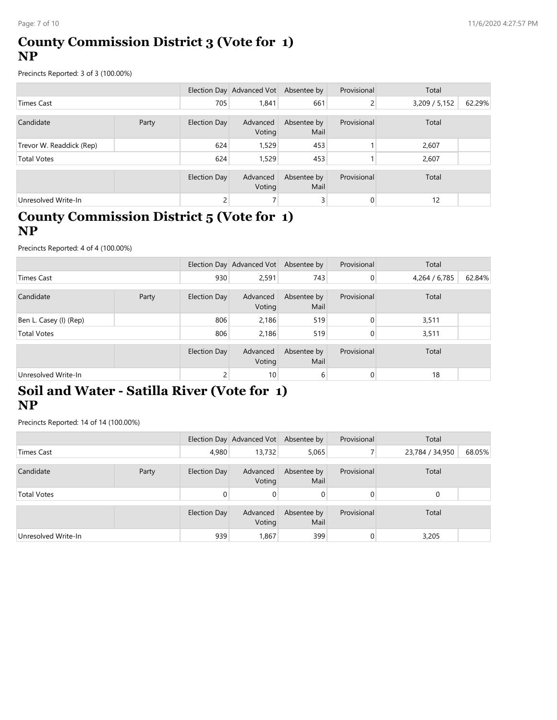### County Commission District 3 (Vote for 1) NP

| Page: 7 of 10                                                                                  |       |                     |                                       |                     |                |               | 11/6/2020 4:27:57 PM |
|------------------------------------------------------------------------------------------------|-------|---------------------|---------------------------------------|---------------------|----------------|---------------|----------------------|
| <b>County Commission District 3 (Vote for 1)</b><br><b>NP</b>                                  |       |                     |                                       |                     |                |               |                      |
| Precincts Reported: 3 of 3 (100.00%)                                                           |       |                     |                                       |                     |                |               |                      |
|                                                                                                |       |                     | Election Day Advanced Vot Absentee by |                     | Provisional    | Total         |                      |
| <b>Times Cast</b>                                                                              |       | 705                 | 1,841                                 | 661                 | 2              | 3,209 / 5,152 | 62.29%               |
| Candidate                                                                                      | Party | <b>Election Day</b> | Advanced<br>Voting                    | Absentee by<br>Mail | Provisional    | Total         |                      |
| Trevor W. Readdick (Rep)                                                                       |       | 624                 | 1,529                                 | 453                 | -1             | 2,607         |                      |
| <b>Total Votes</b>                                                                             |       | 624                 | 1,529                                 | 453                 | $\mathbf{1}$   | 2,607         |                      |
|                                                                                                |       | <b>Election Day</b> | Advanced<br>Voting                    | Absentee by<br>Mail | Provisional    | Total         |                      |
| Unresolved Write-In                                                                            |       | 2                   | $\overline{7}$                        | $\overline{3}$      | $\overline{0}$ | 12            |                      |
| County Commission District 5 (Vote for 1)<br><b>NP</b><br>Precincts Reported: 4 of 4 (100.00%) |       |                     |                                       |                     |                |               |                      |
|                                                                                                |       |                     | Election Day Advanced Vot Absentee by |                     | Provisional    | Total         |                      |
| <b>Times Cast</b>                                                                              |       | 930                 | 2,591                                 | 743                 | $\mathbf 0$    | 4,264 / 6,785 | 62.84%               |
| Candidate                                                                                      | Party | <b>Election Day</b> | Advanced<br>Voting                    | Absentee by<br>Mail | Provisional    | Total         |                      |
| Ben L. Casey (I) (Rep)                                                                         |       | 806                 | 2,186                                 | 519                 | $\pmb{0}$      | 3,511         |                      |
| <b>Total Votes</b>                                                                             |       | 806                 | 2,186                                 | 519                 | $\pmb{0}$      | 3,511         |                      |
|                                                                                                |       | <b>Election Day</b> | Advanced<br>Voting                    | Absentee by<br>Mail | Provisional    | Total         |                      |
| Unresolved Write-In                                                                            |       | 2 <sup>2</sup>      | 10                                    | $6 \overline{6}$    | $\overline{0}$ | 18            |                      |

### County Commission District 5 (Vote for 1) NP

| <b>Times Cast</b>                                                                                  |       | 705                 | 1,841                                 | 661                 | $2\vert$         | 3,209 / 5,152   | 62.29% |
|----------------------------------------------------------------------------------------------------|-------|---------------------|---------------------------------------|---------------------|------------------|-----------------|--------|
| Candidate                                                                                          | Party | <b>Election Day</b> | Advanced<br>Voting                    | Absentee by<br>Mail | Provisional      | Total           |        |
| Trevor W. Readdick (Rep)                                                                           |       | 624                 | 1,529                                 | 453                 | $\mathbf{1}$     | 2,607           |        |
| <b>Total Votes</b>                                                                                 |       | 624                 | 1,529                                 | 453                 | 1                | 2,607           |        |
|                                                                                                    |       | <b>Election Day</b> | Advanced<br>Voting                    | Absentee by<br>Mail | Provisional      | Total           |        |
| Unresolved Write-In                                                                                |       | $\overline{2}$      | $\overline{7}$                        | 3 <sup>1</sup>      | $\overline{0}$   | 12              |        |
| County Commission District 5 (Vote for 1)<br><b>NP</b><br>Precincts Reported: 4 of 4 (100.00%)     |       |                     |                                       |                     |                  |                 |        |
|                                                                                                    |       |                     | Election Day Advanced Vot Absentee by |                     | Provisional      | Total           |        |
| <b>Times Cast</b>                                                                                  |       | 930                 | 2,591                                 | 743                 | $\overline{0}$   | 4,264 / 6,785   | 62.84% |
| Candidate                                                                                          | Party | Election Day        | Advanced<br>Voting                    | Absentee by<br>Mail | Provisional      | Total           |        |
| Ben L. Casey (I) (Rep)                                                                             |       | 806                 | 2,186                                 | 519                 | $\pmb{0}$        | 3,511           |        |
| <b>Total Votes</b>                                                                                 |       | 806                 | 2,186                                 | 519                 | $\pmb{0}$        | 3,511           |        |
|                                                                                                    |       | <b>Election Day</b> | Advanced<br>Voting                    | Absentee by<br>Mail | Provisional      | Total           |        |
| Unresolved Write-In                                                                                |       | $\overline{c}$      | 10                                    | $6 \overline{6}$    | $\boldsymbol{0}$ | 18              |        |
| Soil and Water - Satilla River (Vote for 1)<br><b>NP</b><br>Precincts Reported: 14 of 14 (100.00%) |       |                     | Election Day Advanced Vot Absentee by |                     | Provisional      | Total           |        |
| <b>Times Cast</b>                                                                                  |       | 4,980               | 13,732                                | 5,065               | 7                | 23,784 / 34,950 | 68.05% |
|                                                                                                    |       |                     |                                       |                     |                  |                 |        |
| Candidate                                                                                          | Party | <b>Election Day</b> | Advanced<br>Voting                    | Absentee by<br>Mail | Provisional      | Total           |        |
| <b>Total Votes</b>                                                                                 |       | $\overline{0}$      | $\overline{0}$                        | $\pmb{0}$           | $\overline{0}$   | 0               |        |
|                                                                                                    |       | Election Day        | Advanced<br>Voting                    | Absentee by<br>Mail | Provisional      | Total           |        |
| Unresolved Write-In                                                                                |       | 939                 | 1,867                                 | 399                 | $\pmb{0}$        | 3,205           |        |

# Soil and Water - Satilla River (Vote for 1) NP

|                                                                                                    | Party | <b>Election Day</b> | Voting                                | Advanced Absence by<br>Mail | <b>PIUVISIUII di</b> | TOLdi           |        |
|----------------------------------------------------------------------------------------------------|-------|---------------------|---------------------------------------|-----------------------------|----------------------|-----------------|--------|
| Ben L. Casey (I) (Rep)                                                                             |       | 806                 | 2,186                                 | 519                         | $\overline{0}$       | 3,511           |        |
| <b>Total Votes</b>                                                                                 |       | 806                 | 2,186                                 | 519                         | $\overline{0}$       | 3,511           |        |
|                                                                                                    |       | Election Day        | Advanced<br>Voting                    | Absentee by<br>Mail         | Provisional          | Total           |        |
| Unresolved Write-In                                                                                |       | $\mathsf{2}$        | 10                                    | 6                           | 0                    | 18              |        |
| Soil and Water - Satilla River (Vote for 1)<br><b>NP</b><br>Precincts Reported: 14 of 14 (100.00%) |       |                     |                                       |                             |                      |                 |        |
|                                                                                                    |       |                     | Election Day Advanced Vot Absentee by |                             | Provisional          | Total           |        |
| <b>Times Cast</b>                                                                                  |       | 4,980               | 13,732                                | 5,065                       | 7 <sup>1</sup>       | 23,784 / 34,950 | 68.05% |
| Candidate                                                                                          | Party | Election Day        | Advanced<br>Voting                    | Absentee by<br>Mail         | Provisional          | Total           |        |
| <b>Total Votes</b>                                                                                 |       | $\overline{0}$      | 0                                     | $\overline{0}$              | $\overline{0}$       | $\mathbf 0$     |        |
|                                                                                                    |       | Election Day        | Advanced<br>Voting                    | Absentee by<br>Mail         | Provisional          | Total           |        |
|                                                                                                    |       |                     | 939<br>1,867                          | 399                         | $\overline{0}$       | 3,205           |        |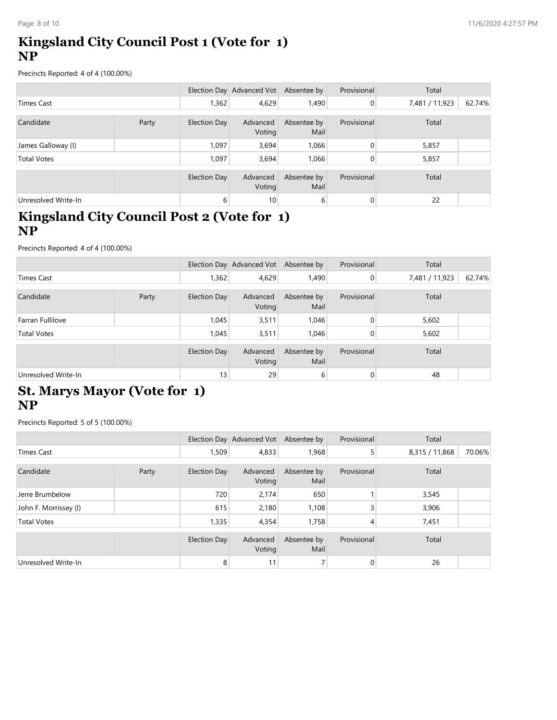# Kingsland City Council Post 1 (Vote for 1) NP

| Page: 8 of 10                                                                                   |       |                     |                                       |                     |              |                | 11/6/2020 4:27:57 PM |
|-------------------------------------------------------------------------------------------------|-------|---------------------|---------------------------------------|---------------------|--------------|----------------|----------------------|
| Kingsland City Council Post 1 (Vote for 1)<br><b>NP</b>                                         |       |                     |                                       |                     |              |                |                      |
| Precincts Reported: 4 of 4 (100.00%)                                                            |       |                     |                                       |                     |              |                |                      |
|                                                                                                 |       |                     | Election Day Advanced Vot Absentee by |                     | Provisional  | Total          |                      |
| <b>Times Cast</b>                                                                               |       | 1,362               | 4,629                                 | 1,490               | $\mathbf{0}$ | 7,481 / 11,923 | 62.74%               |
| Candidate                                                                                       | Party | <b>Election Day</b> | Advanced<br>Voting                    | Absentee by<br>Mail | Provisional  | Total          |                      |
| James Galloway (I)                                                                              |       | 1,097               | 3,694                                 | 1,066               | $\mathbf 0$  | 5,857          |                      |
| <b>Total Votes</b>                                                                              |       | 1,097               | 3,694                                 | 1,066               | $\mathbf 0$  | 5,857          |                      |
|                                                                                                 |       | <b>Election Day</b> | Advanced<br>Voting                    | Absentee by<br>Mail | Provisional  | Total          |                      |
| Unresolved Write-In                                                                             |       | $6 \mid$            | 10 <sup>1</sup>                       | 6                   | $\pmb{0}$    | 22             |                      |
| Kingsland City Council Post 2 (Vote for 1)<br><b>NP</b><br>Precincts Reported: 4 of 4 (100.00%) |       |                     |                                       |                     |              |                |                      |
|                                                                                                 |       |                     | Election Day Advanced Vot Absentee by |                     | Provisional  | Total          |                      |
| <b>Times Cast</b>                                                                               |       | 1,362               | 4,629                                 | 1,490               | $\pmb{0}$    | 7,481 / 11,923 | 62.74%               |
| Candidate                                                                                       | Party | <b>Election Day</b> | Advanced<br>Voting                    | Absentee by<br>Mail | Provisional  | Total          |                      |
| Farran Fullilove                                                                                |       | 1,045               | 3,511                                 | 1,046               | $\pmb{0}$    | 5,602          |                      |
| <b>Total Votes</b>                                                                              |       | 1,045               | 3,511                                 | 1,046               | $\mathbf 0$  | 5,602          |                      |
|                                                                                                 |       | <b>Election Day</b> | Advanced<br>Voting                    | Absentee by<br>Mail | Provisional  | Total          |                      |
| Unresolved Write-In                                                                             |       | 13                  | 29                                    | 6                   | $\mathbf{0}$ | 48             |                      |

# Kingsland City Council Post 2 (Vote for 1) NP

| <b>Times Cast</b>                                                                               |       | 1,362               | 4,629                                 | 1,490               | $\overline{0}$   | 7,481 / 11,923 | 62.74% |
|-------------------------------------------------------------------------------------------------|-------|---------------------|---------------------------------------|---------------------|------------------|----------------|--------|
| Candidate                                                                                       | Party | <b>Election Day</b> | Advanced<br>Voting                    | Absentee by<br>Mail | Provisional      | Total          |        |
| James Galloway (I)                                                                              |       | 1,097               | 3,694                                 | 1,066               | $\overline{0}$   | 5,857          |        |
| <b>Total Votes</b>                                                                              |       | 1,097               | 3,694                                 | 1,066               | $\overline{0}$   | 5,857          |        |
|                                                                                                 |       | <b>Election Day</b> | Advanced<br>Voting                    | Absentee by<br>Mail | Provisional      | Total          |        |
| Unresolved Write-In                                                                             |       | 6                   | 10                                    | $6 \overline{6}$    | $\boldsymbol{0}$ | 22             |        |
| Kingsland City Council Post 2 (Vote for 1)<br><b>NP</b><br>Precincts Reported: 4 of 4 (100.00%) |       |                     |                                       |                     |                  |                |        |
|                                                                                                 |       |                     | Election Day Advanced Vot Absentee by |                     | Provisional      | Total          |        |
| <b>Times Cast</b>                                                                               |       | 1,362               | 4,629                                 | 1,490               | $\overline{0}$   | 7,481 / 11,923 | 62.74% |
| Candidate                                                                                       | Party | <b>Election Day</b> | Advanced<br>Voting                    | Absentee by<br>Mail | Provisional      | Total          |        |
| Farran Fullilove                                                                                |       | 1,045               | 3,511                                 | 1,046               | $\pmb{0}$        | 5,602          |        |
| <b>Total Votes</b>                                                                              |       | 1,045               | 3,511                                 | 1,046               | $\mathbf 0$      | 5,602          |        |
|                                                                                                 |       | <b>Election Day</b> | Advanced<br>Voting                    | Absentee by<br>Mail | Provisional      | Total          |        |
| Unresolved Write-In                                                                             |       | 13                  | 29                                    | 6                   | $\boldsymbol{0}$ | 48             |        |
| <b>St. Marys Mayor (Vote for 1)</b><br><b>NP</b><br>Precincts Reported: 5 of 5 (100.00%)        |       |                     | Election Day Advanced Vot Absentee by |                     | Provisional      | Total          |        |
| <b>Times Cast</b>                                                                               |       | 1,509               | 4,833                                 | 1,968               | 5 <sup>1</sup>   | 8,315 / 11,868 | 70.06% |
| Candidate                                                                                       | Party | <b>Election Day</b> | Advanced<br>Voting                    | Absentee by<br>Mail | Provisional      | Total          |        |
| Jerre Brumbelow                                                                                 |       | 720                 | 2,174                                 | 650                 | $\mathbf{1}$     | 3,545          |        |
| John F. Morrissey (I)                                                                           |       | 615                 | 2,180                                 | 1,108               | $\overline{3}$   | 3,906          |        |
| <b>Total Votes</b>                                                                              |       | 1,335               | 4,354                                 | 1,758               | 4                | 7,451          |        |
|                                                                                                 |       | <b>Election Day</b> | Advanced<br>Voting                    | Absentee by<br>Mail | Provisional      | Total          |        |

# St. Marys Mayor (Vote for 1) NP

| <b>Times Cast</b>                         |       | 1,362               | 4,629                                 | 1,490               | $\overline{0}$ | 7,481 / 11,923 | 62.74% |
|-------------------------------------------|-------|---------------------|---------------------------------------|---------------------|----------------|----------------|--------|
| Candidate                                 | Party | <b>Election Day</b> | Advanced<br>Voting                    | Absentee by<br>Mail | Provisional    | Total          |        |
| Farran Fullilove                          |       | 1,045               | 3,511                                 | 1,046               | $\pmb{0}$      | 5,602          |        |
| <b>Total Votes</b>                        |       | 1,045               | 3,511                                 | 1,046               | $\overline{0}$ | 5,602          |        |
|                                           |       | <b>Election Day</b> | Advanced<br>Voting                    | Absentee by<br>Mail | Provisional    | Total          |        |
| Unresolved Write-In                       |       | 13                  | 29                                    | $6 \overline{6}$    | $\overline{0}$ | 48             |        |
| St. Marys Mayor (Vote for 1)<br><b>NP</b> |       |                     |                                       |                     |                |                |        |
| Precincts Reported: 5 of 5 (100.00%)      |       |                     |                                       |                     |                |                |        |
|                                           |       |                     | Election Day Advanced Vot Absentee by |                     | Provisional    | Total          |        |
| <b>Times Cast</b>                         |       | 1,509               | 4,833                                 | 1,968               | 5 <sup>1</sup> | 8,315 / 11,868 | 70.06% |
| Candidate                                 | Party | <b>Election Day</b> | Advanced<br>Voting                    | Absentee by<br>Mail | Provisional    | Total          |        |
| Jerre Brumbelow                           |       | 720                 | 2,174                                 | 650                 |                | 3,545          |        |
| John F. Morrissey (I)                     |       | 615                 | 2,180                                 | 1,108               | 3              | 3,906          |        |
| <b>Total Votes</b>                        |       | 1,335               | 4,354                                 | 1,758               | 4              | 7,451          |        |
|                                           |       | <b>Election Day</b> | Advanced<br>Voting                    | Absentee by<br>Mail | Provisional    | Total          |        |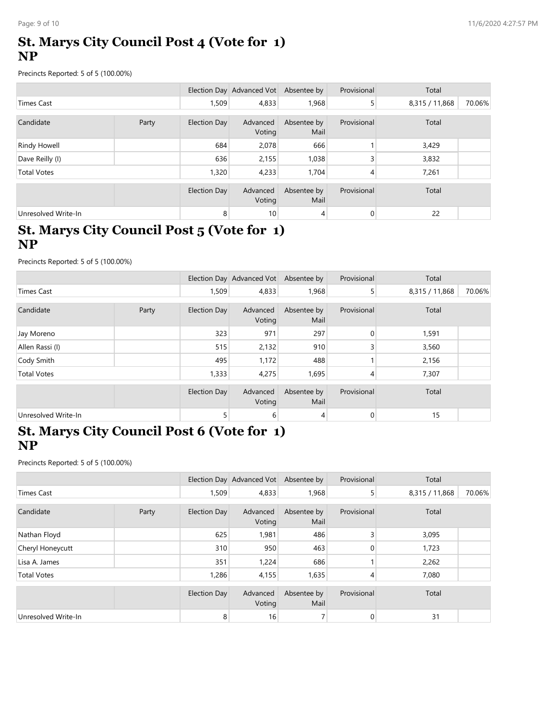# St. Marys City Council Post 4 (Vote for 1) NP

| Page: 9 of 10                                                                                   |       |                     |                                       |                              |                    |                  | 11/6/2020 4:27:57 PM |
|-------------------------------------------------------------------------------------------------|-------|---------------------|---------------------------------------|------------------------------|--------------------|------------------|----------------------|
| <b>St. Marys City Council Post 4 (Vote for 1)</b><br><b>NP</b>                                  |       |                     |                                       |                              |                    |                  |                      |
| Precincts Reported: 5 of 5 (100.00%)                                                            |       |                     |                                       |                              |                    |                  |                      |
|                                                                                                 |       |                     | Election Day Advanced Vot Absentee by |                              | Provisional        | Total            |                      |
| <b>Times Cast</b>                                                                               |       | 1,509               | 4,833                                 | 1,968                        | 5                  | 8,315 / 11,868   | 70.06%               |
| Candidate                                                                                       | Party | <b>Election Day</b> | Advanced<br>Voting                    | Absentee by<br>Mail          | Provisional        | Total            |                      |
| <b>Rindy Howell</b>                                                                             |       | 684                 | 2,078                                 | 666                          | -1                 | 3,429            |                      |
| Dave Reilly (I)                                                                                 |       | 636                 | 2,155                                 | 1,038                        | $\overline{3}$     | 3,832            |                      |
| <b>Total Votes</b>                                                                              |       | 1,320               | 4,233                                 | 1,704                        | 4                  | 7,261            |                      |
|                                                                                                 |       | <b>Election Day</b> | Advanced<br>Voting                    | Absentee by<br>Mail          | Provisional        | Total            |                      |
| Unresolved Write-In                                                                             |       | 8 <sup>1</sup>      | 10                                    | 4                            | $\overline{0}$     | 22               |                      |
| St. Marys City Council Post 5 (Vote for 1)<br><b>NP</b><br>Precincts Reported: 5 of 5 (100.00%) |       |                     |                                       |                              |                    |                  |                      |
|                                                                                                 |       |                     | Election Day Advanced Vot Absentee by |                              | Provisional        | Total            |                      |
| <b>Times Cast</b>                                                                               |       | 1,509               | 4,833                                 | 1,968                        | 5                  | 8,315 / 11,868   | 70.06%               |
| Candidate                                                                                       | Party | <b>Election Day</b> | Voting                                | Advanced Absentee by<br>Mail | Provisional        | Total            |                      |
| Jay Moreno                                                                                      |       | 323                 | 971                                   | 297                          | $\overline{0}$     | 1,591            |                      |
| Allen Rassi (I)                                                                                 |       | 515                 | 2,132                                 | 910                          | $\mathsf{3}$       | 3,560            |                      |
| Cody Smith                                                                                      |       | 495                 | 1,172                                 | 488                          | 1                  | 2,156            |                      |
| <b>Total Votes</b>                                                                              |       | 1,333               | 4,275                                 | 1,695                        | $\overline{4}$     | 7,307            |                      |
|                                                                                                 |       | Election Day        |                                       | Advanced Abcontoo by         | <b>Drovicional</b> | $T_{\Omega}$ tal |                      |

#### St. Marys City Council Post 5 (Vote for 1) NP

| Candidate                                                                                              | Party | <b>Election Day</b> | Advanced<br>Voting                    | Absentee by<br>Mail  | Provisional        | Total          |        |
|--------------------------------------------------------------------------------------------------------|-------|---------------------|---------------------------------------|----------------------|--------------------|----------------|--------|
| <b>Rindy Howell</b>                                                                                    |       | 684                 | 2,078                                 | 666                  | 1                  | 3,429          |        |
| Dave Reilly (I)                                                                                        |       | 636                 | 2,155                                 | 1,038                | 3                  | 3,832          |        |
| <b>Total Votes</b>                                                                                     |       | 1,320               | 4,233                                 | 1,704                | 4                  | 7,261          |        |
|                                                                                                        |       | <b>Election Day</b> | Advanced<br>Voting                    | Absentee by<br>Mail  | Provisional        | Total          |        |
| Unresolved Write-In                                                                                    |       | 8                   | 10                                    | 4                    | $\overline{0}$     | 22             |        |
| St. Marys City Council Post 5 (Vote for 1)<br><b>NP</b>                                                |       |                     |                                       |                      |                    |                |        |
| Precincts Reported: 5 of 5 (100.00%)                                                                   |       |                     |                                       |                      |                    |                |        |
|                                                                                                        |       |                     | Election Day Advanced Vot Absentee by |                      | Provisional        | Total          |        |
| <b>Times Cast</b>                                                                                      |       | 1,509               | 4,833                                 | 1,968                | 5                  | 8,315 / 11,868 | 70.06% |
| Candidate                                                                                              | Party | <b>Election Day</b> | Advanced<br>Voting                    | Absentee by<br>Mail  | Provisional        | Total          |        |
| Jay Moreno                                                                                             |       | 323                 | 971                                   | 297                  | 0                  | 1,591          |        |
| Allen Rassi (I)                                                                                        |       | 515                 | 2,132                                 | 910                  | 3                  | 3,560          |        |
| Cody Smith                                                                                             |       | 495                 | 1,172                                 | 488                  | 1                  | 2,156          |        |
| <b>Total Votes</b>                                                                                     |       | 1,333               | 4,275                                 | 1,695                | 4                  | 7,307          |        |
|                                                                                                        |       | <b>Election Day</b> | Advanced<br>Voting                    | Absentee by<br>Mail  | Provisional        | Total          |        |
| Unresolved Write-In                                                                                    |       | 5 <sup>1</sup>      | 6 <sup>1</sup>                        | 4                    | $\overline{0}$     | 15             |        |
| <b>St. Marys City Council Post 6 (Vote for 1)</b><br><b>NP</b><br>Precincts Reported: 5 of 5 (100.00%) |       |                     |                                       |                      |                    |                |        |
|                                                                                                        |       |                     | Election Day Advanced Vot Absentee by |                      | Provisional        | Total          |        |
| <b>Times Cast</b>                                                                                      |       | 1,509               | 4,833                                 | 1,968                | 5 <sup>1</sup>     | 8,315 / 11,868 | 70.06% |
| Candidate                                                                                              | Party | <b>Election Day</b> | Advanced<br>Voting                    | Absentee by<br>Mail  | Provisional        | Total          |        |
| Nathan Floyd                                                                                           |       | 625                 | 1,981                                 | 486                  | $\overline{3}$     | 3,095          |        |
| Cheryl Honeycutt                                                                                       |       | 310                 | 950                                   | 463                  | $\overline{0}$     | 1,723          |        |
| Lisa A. James                                                                                          |       | 351                 | 1,224                                 | 686                  | 1                  | 2,262          |        |
| <b>Total Votes</b>                                                                                     |       | 1,286               | 4,155                                 | 1,635                | $\vert$            | 7,080          |        |
|                                                                                                        |       | Election Day        |                                       | Advanced Abcontoo by | <b>Drovisional</b> | $T_{\alpha+1}$ |        |

# St. Marys City Council Post 6 (Vote for 1) NP

|                                                   |       |                     | Voting                                | Mail                |                  |                |        |
|---------------------------------------------------|-------|---------------------|---------------------------------------|---------------------|------------------|----------------|--------|
| Jay Moreno                                        |       | 323                 | 971                                   | 297                 | $\pmb{0}$        | 1,591          |        |
| Allen Rassi (I)                                   |       | 515                 | 2,132                                 | 910                 | 3                | 3,560          |        |
| Cody Smith                                        |       | 495                 | 1,172                                 | 488                 |                  | 2,156          |        |
| <b>Total Votes</b>                                |       | 1,333               | 4,275                                 | 1,695               | 4                | 7,307          |        |
|                                                   |       | <b>Election Day</b> | Advanced<br>Voting                    | Absentee by<br>Mail | Provisional      | Total          |        |
| Unresolved Write-In                               |       |                     | 6 <sup>1</sup>                        | 4                   | $\boldsymbol{0}$ | 15             |        |
| <b>NP</b><br>Precincts Reported: 5 of 5 (100.00%) |       |                     |                                       |                     |                  |                |        |
|                                                   |       |                     |                                       |                     |                  |                |        |
|                                                   |       |                     | Election Day Advanced Vot Absentee by |                     | Provisional      | Total          |        |
| <b>Times Cast</b>                                 |       | 1,509               | 4,833                                 | 1,968               | 5 <sup>1</sup>   | 8,315 / 11,868 | 70.06% |
| Candidate                                         | Party | <b>Election Day</b> | Advanced<br>Voting                    | Absentee by<br>Mail | Provisional      | Total          |        |
| Nathan Floyd                                      |       | 625                 | 1,981                                 | 486                 | 3                | 3,095          |        |
| Cheryl Honeycutt                                  |       | 310                 | 950                                   | 463                 | 0                | 1,723          |        |
| Lisa A. James                                     |       | 351                 | 1,224                                 | 686                 |                  | 2,262          |        |
| <b>Total Votes</b>                                |       | 1,286               | 4,155                                 | 1,635               | 4                | 7,080          |        |
|                                                   |       | <b>Election Day</b> | Advanced<br>Voting                    | Absentee by<br>Mail | Provisional      | Total          |        |